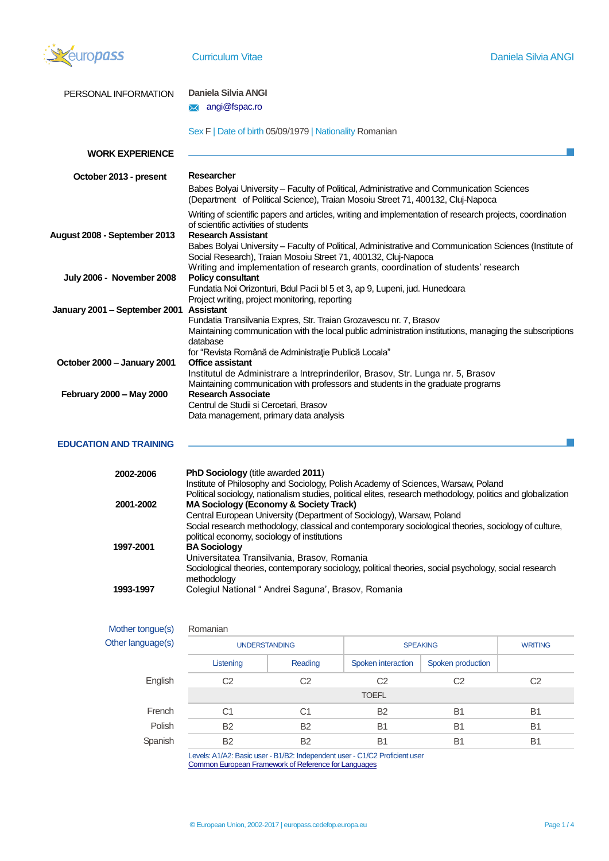

| PERSONAL INFORMATION                    | Daniela Silvia ANGI                                                                                                                                                                                                                                            |
|-----------------------------------------|----------------------------------------------------------------------------------------------------------------------------------------------------------------------------------------------------------------------------------------------------------------|
|                                         | angi@fspac.ro<br>$\boxtimes$                                                                                                                                                                                                                                   |
|                                         | Sex F   Date of birth 05/09/1979   Nationality Romanian                                                                                                                                                                                                        |
| <b>WORK EXPERIENCE</b>                  |                                                                                                                                                                                                                                                                |
| October 2013 - present                  | Researcher                                                                                                                                                                                                                                                     |
|                                         | Babes Bolyai University - Faculty of Political, Administrative and Communication Sciences<br>(Department of Political Science), Traian Mosoiu Street 71, 400132, Cluj-Napoca                                                                                   |
| August 2008 - September 2013            | Writing of scientific papers and articles, writing and implementation of research projects, coordination<br>of scientific activities of students<br><b>Research Assistant</b>                                                                                  |
|                                         | Babes Bolyai University – Faculty of Political, Administrative and Communication Sciences (Institute of<br>Social Research), Traian Mosoiu Street 71, 400132, Cluj-Napoca<br>Writing and implementation of research grants, coordination of students' research |
| July 2006 - November 2008               | <b>Policy consultant</b><br>Fundatia Noi Orizonturi, Bdul Pacii bl 5 et 3, ap 9, Lupeni, jud. Hunedoara                                                                                                                                                        |
| January 2001 - September 2001 Assistant | Project writing, project monitoring, reporting<br>Fundatia Transilvania Expres, Str. Traian Grozavescu nr. 7, Brasov<br>Maintaining communication with the local public administration institutions, managing the subscriptions                                |
| October 2000 - January 2001             | database<br>for "Revista Română de Administrație Publică Locala"<br><b>Office assistant</b>                                                                                                                                                                    |
|                                         | Institutul de Administrare a Intreprinderilor, Brasov, Str. Lunga nr. 5, Brasov<br>Maintaining communication with professors and students in the graduate programs                                                                                             |
| February 2000 - May 2000                | <b>Research Associate</b><br>Centrul de Studii si Cercetari, Brasov<br>Data management, primary data analysis                                                                                                                                                  |

# **EDUCATION AND TRAINING**

 $\overline{a}$ 

| 2002-2006 | <b>PhD Sociology</b> (title awarded 2011)<br>Institute of Philosophy and Sociology, Polish Academy of Sciences, Warsaw, Poland                                    |
|-----------|-------------------------------------------------------------------------------------------------------------------------------------------------------------------|
| 2001-2002 | Political sociology, nationalism studies, political elites, research methodology, politics and globalization<br><b>MA Sociology (Economy &amp; Society Track)</b> |
|           | Central European University (Department of Sociology), Warsaw, Poland                                                                                             |
|           | Social research methodology, classical and contemporary sociological theories, sociology of culture,<br>political economy, sociology of institutions              |
| 1997-2001 | <b>BA Sociology</b>                                                                                                                                               |
|           | Universitatea Transilvania, Brasov, Romania                                                                                                                       |
|           | Sociological theories, contemporary sociology, political theories, social psychology, social research<br>methodology                                              |
| 1993-1997 | Colegiul National " Andrei Saguna', Brasov, Romania                                                                                                               |

| Mother tongue(s)  | Romanian                                               |                |                                    |                   |                |
|-------------------|--------------------------------------------------------|----------------|------------------------------------|-------------------|----------------|
| Other language(s) | <b>UNDERSTANDING</b>                                   |                | <b>SPEAKING</b>                    |                   | <b>WRITING</b> |
|                   | Listening                                              | Reading        | Spoken interaction                 | Spoken production |                |
| English           | C <sub>2</sub>                                         | C <sub>2</sub> | C <sub>2</sub>                     | C <sub>2</sub>    | C <sub>2</sub> |
|                   |                                                        |                | <b>TOEFL</b>                       |                   |                |
| French            | C <sub>1</sub>                                         | C1             | <b>B2</b>                          | <b>B1</b>         | B <sub>1</sub> |
| Polish            | <b>B2</b>                                              | <b>B2</b>      | <b>B1</b>                          | B <sub>1</sub>    | B <sub>1</sub> |
| Spanish           | <b>B2</b>                                              | <b>B2</b>      | <b>B1</b>                          | <b>B1</b>         | <b>B1</b>      |
|                   | $\mathbf{r}$ , a state $\mathbf{r}$ , and $\mathbf{r}$ |                | $\sim$ $\sim$ $\sim$ $\sim$ $\sim$ |                   |                |

Levels: A1/A2: Basic user - B1/B2: Independent user - C1/C2 Proficient user [Common European Framework of Reference for Languages](http://europass.cedefop.europa.eu/en/resources/european-language-levels-cefr)

 $\overline{\phantom{a}}$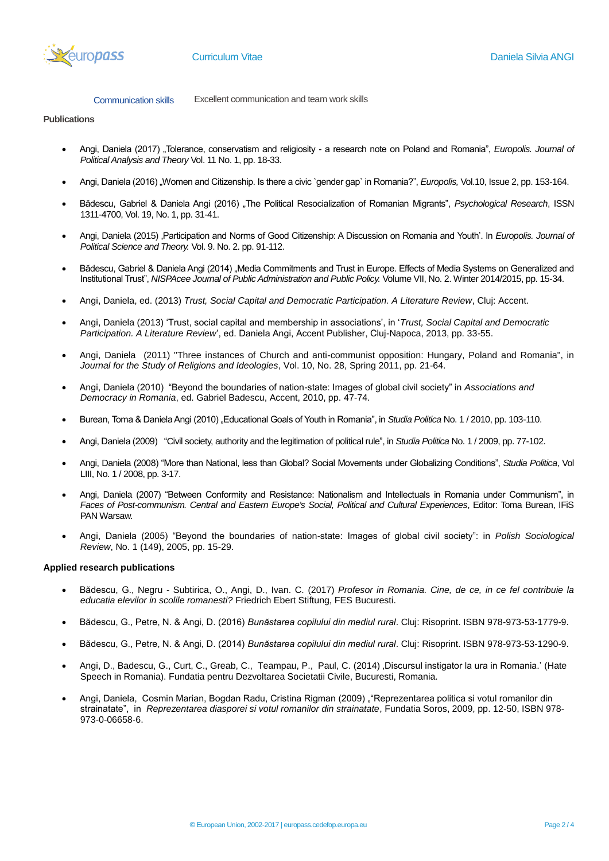

Communication skills Excellent communication and team work skills

## **Publications**

- Angi, Daniela (2017) "Tolerance, conservatism and religiosity a research note on Poland and Romania", *Europolis. Journal of Political Analysis and Theory* Vol. 11 No. 1, pp. 18-33.
- Angi, Daniela (2016) "Women and Citizenship. Is there a civic `gender gap` in Romania?", *Europolis*, Vol.10, Issue 2, pp. 153-164.
- Bădescu, Gabriel & Daniela Angi (2016) "The Political Resocialization of Romanian Migrants", *Psychological Research*, ISSN 1311-4700, Vol. 19, No. 1, pp. 31-41.
- Angi, Daniela (2015) 'Participation and Norms of Good Citizenship: A Discussion on Romania and Youth'. In *Europolis. Journal of Political Science and Theory.* Vol. 9. No. 2. pp. 91-112.
- Bădescu, Gabriel & Daniela Angi (2014) "Media Commitments and Trust in Europe. Effects of Media Systems on Generalized and Institutional Trust", *NISPAcee Journal of Public Administration and Public Policy.* Volume VII, No. 2. Winter 2014/2015, pp. 15-34.
- Angi, Daniela, ed. (2013) *Trust, Social Capital and Democratic Participation. A Literature Review*, Cluj: Accent.
- Angi, Daniela (2013) 'Trust, social capital and membership in associations', in '*Trust, Social Capital and Democratic Participation. A Literature Review*', ed. Daniela Angi, Accent Publisher, Cluj-Napoca, 2013, pp. 33-55.
- Angi, Daniela (2011) "Three instances of Church and anti-communist opposition: Hungary, Poland and Romania", in *Journal for the Study of Religions and Ideologies*, Vol. 10, No. 28, Spring 2011, pp. 21-64.
- Angi, Daniela (2010) "Beyond the boundaries of nation-state: Images of global civil society" in *Associations and Democracy in Romania*, ed. Gabriel Badescu, Accent, 2010, pp. 47-74.
- Burean, Toma & Daniela Angi (2010) "Educational Goals of Youth in Romania", in Studia Politica No. 1 / 2010, pp. 103-110.
- Angi, Daniela (2009) "Civil society, authority and the legitimation of political rule", in *Studia Politica* No. 1 / 2009, pp. 77-102.
- Angi, Daniela (2008) "More than National, less than Global? Social Movements under Globalizing Conditions", *Studia Politica*, Vol LIII, No. 1 / 2008, pp. 3-17.
- Angi, Daniela (2007) "Between Conformity and Resistance: Nationalism and Intellectuals in Romania under Communism", in *Faces of Post-communism. Central and Eastern Europe's Social, Political and Cultural Experiences*, Editor: Toma Burean, IFiS PAN Warsaw.
- Angi, Daniela (2005) "Beyond the boundaries of nation-state: Images of global civil society": in *Polish Sociological Review*, No. 1 (149), 2005, pp. 15-29.

### **Applied research publications**

- Bădescu, G., Negru Subtirica, O., Angi, D., Ivan. C. (2017) *Profesor in Romania. Cine, de ce, in ce fel contribuie la educatia elevilor in scolile romanesti?* Friedrich Ebert Stiftung, FES Bucuresti.
- Bădescu, G., Petre, N. & Angi, D. (2016) *Bunăstarea copilului din mediul rural*. Cluj: Risoprint. ISBN 978-973-53-1779-9.
- Bădescu, G., Petre, N. & Angi, D. (2014) *Bunăstarea copilului din mediul rural*. Cluj: Risoprint. ISBN 978-973-53-1290-9.
- Angi, D., Badescu, G., Curt, C., Greab, C., Teampau, P., Paul, C. (2014) ,Discursul instigator la ura in Romania.' (Hate Speech in Romania). Fundatia pentru Dezvoltarea Societatii Civile, Bucuresti, Romania.
- Angi, Daniela, Cosmin Marian, Bogdan Radu, Cristina Rigman (2009) ""Reprezentarea politica si votul romanilor din strainatate", in *Reprezentarea diasporei si votul romanilor din strainatate*, Fundatia Soros, 2009, pp. 12-50, ISBN 978- 973-0-06658-6.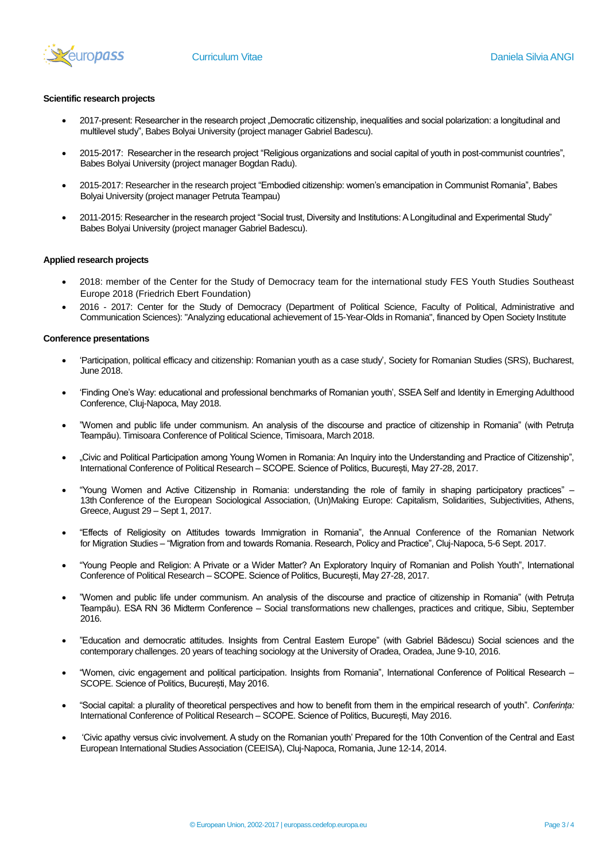

### **Scientific research projects**

- 2017-present: Researcher in the research project "Democratic citizenship, inequalities and social polarization: a longitudinal and multilevel study", Babes Bolyai University (project manager Gabriel Badescu).
- 2015-2017: Researcher in the research project "Religious organizations and social capital of youth in post-communist countries", Babes Bolyai University (project manager Bogdan Radu).
- 2015-2017: Researcher in the research project "Embodied citizenship: women's emancipation in Communist Romania", Babes Bolyai University (project manager Petruta Teampau)
- 2011-2015: Researcher in the research project "Social trust, Diversity and Institutions: A Longitudinal and Experimental Study" Babes Bolyai University (project manager Gabriel Badescu).

### **Applied research projects**

- 2018: member of the Center for the Study of Democracy team for the international study FES Youth Studies Southeast Europe 2018 (Friedrich Ebert Foundation)
- 2016 2017: Center for the Study of Democracy (Department of Political Science, Faculty of Political, Administrative and Communication Sciences): "Analyzing educational achievement of 15-Year-Olds in Romania", financed by Open Society Institute

#### **Conference presentations**

- 'Participation, political efficacy and citizenship: Romanian youth as a case study', Society for Romanian Studies (SRS), Bucharest, June 2018.
- 'Finding One's Way: educational and professional benchmarks of Romanian youth', SSEA Self and Identity in Emerging Adulthood Conference, Cluj-Napoca, May 2018.
- "Women and public life under communism. An analysis of the discourse and practice of citizenship in Romania" (with Petruța Teampău). Timisoara Conference of Political Science, Timisoara, March 2018.
- "Civic and Political Participation among Young Women in Romania: An Inquiry into the Understanding and Practice of Citizenship", International Conference of Political Research – SCOPE. Science of Politics, București, May 27-28, 2017.
- "Young Women and Active Citizenship in Romania: understanding the role of family in shaping participatory practices" 13th Conference of the European Sociological Association, (Un)Making Europe: Capitalism, Solidarities, Subjectivities, Athens, Greece, August 29 – Sept 1, 2017.
- "Effects of Religiosity on Attitudes towards Immigration in Romania", the Annual Conference of the Romanian Network for Migration Studies – "Migration from and towards Romania. Research, Policy and Practice", Cluj-Napoca, 5-6 Sept. 2017.
- "Young People and Religion: A Private or a Wider Matter? An Exploratory Inquiry of Romanian and Polish Youth", International Conference of Political Research – SCOPE. Science of Politics, București, May 27-28, 2017.
- "Women and public life under communism. An analysis of the discourse and practice of citizenship in Romania" (with Petruța Teampău). ESA RN 36 Midterm Conference – Social transformations new challenges, practices and critique, Sibiu, September 2016.
- "Education and democratic attitudes. Insights from Central Eastern Europe" (with Gabriel Bădescu) Social sciences and the contemporary challenges. 20 years of teaching sociology at the University of Oradea, Oradea, June 9-10, 2016.
- "Women, civic engagement and political participation. Insights from Romania", International Conference of Political Research SCOPE. Science of Politics, București, May 2016.
- "Social capital: a plurality of theoretical perspectives and how to benefit from them in the empirical research of youth". *Conferința:*  International Conference of Political Research – SCOPE. Science of Politics, București, May 2016.
- 'Civic apathy versus civic involvement. A study on the Romanian youth' Prepared for the 10th Convention of the Central and East European International Studies Association (CEEISA), Cluj-Napoca, Romania, June 12-14, 2014.